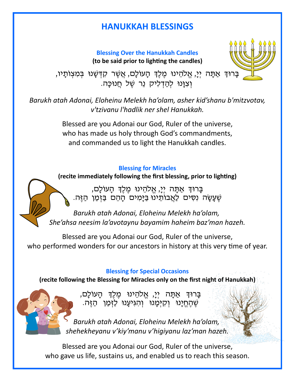# **HANUKKAH BLESSINGS**

**Blessing Over the Hanukkah Candles (to be said prior to lighting the candles)**



ָבָּרוּדְּ אַתָּה יְיָ, אֱלֹהֵינוּ מֶלֶדְּ הָעוֹלָם, אֲשֶׁר קִדְשָׁנוּ בְּמִצְוֹתַיו, וְ צִוּנוּ לְהַדְלִיק נֵר שֶׁל חֲנוּכָּה.

*Barukh atah Adonai, Eloheinu Melekh ha'olam, asher kid'shanu b'mitzvotav, v'tzivanu l'hadlik ner shel Hanukkah.*

> Blessed are you Adonai our God, Ruler of the universe, who has made us holy through God's commandments, and commanded us to light the Hanukkah candles.

## **Blessing for Miracles**

**(recite immediately following the first blessing, prior to lighting)**

בָּרוּךְ אַתָּה יִיָ, אֱלֹהֵינוּ מֶלֶךְ הָעוֹלָם, שֶׁ עָשָׂה נִסִים לַאֲבוֹתֵינוּ בַּיָּמִים הָהֵם בַּזְמַן הַזֶּה.

*Barukh atah Adonai, Eloheinu Melekh ha'olam, She'ahsa neesim la'avotaynu bayamim haheim baz'man hazeh.*

Blessed are you Adonai our God, Ruler of the universe, who performed wonders for our ancestors in history at this very time of year.

### **Blessing for Special Occasions**

**(recite following the Blessing for Miracles only on the first night of Hanukkah)**

בָּרוּדְּ אַתָּה יְיָ, אֱלֹהֵינוּ מֶלֶדְּ הָעוֹלָם, שֶ הֶ חֱ יָּנּו וְ קִ יְמָּ נּו וְ הִ גִ יעָּ נּו לַזְ מַ ן הַ זֶ ה.

*Barukh atah Adonai, Eloheinu Melekh ha'olam, shehekheyanu v'kiy'manu v'higiyanu laz'man hazeh.*

Blessed are you Adonai our God, Ruler of the universe, who gave us life, sustains us, and enabled us to reach this season.